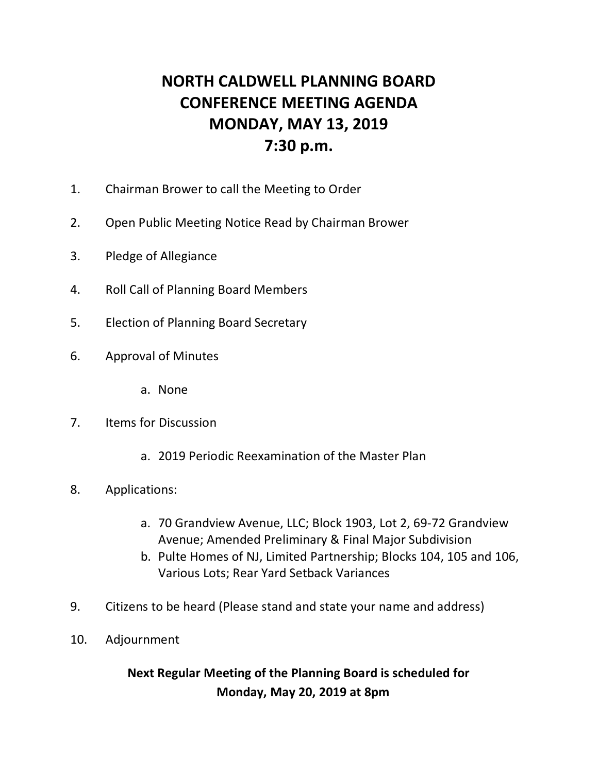## **NORTH CALDWELL PLANNING BOARD CONFERENCE MEETING AGENDA MONDAY, MAY 13, 2019 7:30 p.m.**

- 1. Chairman Brower to call the Meeting to Order
- 2. Open Public Meeting Notice Read by Chairman Brower
- 3. Pledge of Allegiance
- 4. Roll Call of Planning Board Members
- 5. Election of Planning Board Secretary
- 6. Approval of Minutes
	- a. None
- 7. Items for Discussion
	- a. 2019 Periodic Reexamination of the Master Plan
- 8. Applications:
	- a. 70 Grandview Avenue, LLC; Block 1903, Lot 2, 69-72 Grandview Avenue; Amended Preliminary & Final Major Subdivision
	- b. Pulte Homes of NJ, Limited Partnership; Blocks 104, 105 and 106, Various Lots; Rear Yard Setback Variances
- 9. Citizens to be heard (Please stand and state your name and address)
- 10. Adjournment

## **Next Regular Meeting of the Planning Board is scheduled for Monday, May 20, 2019 at 8pm**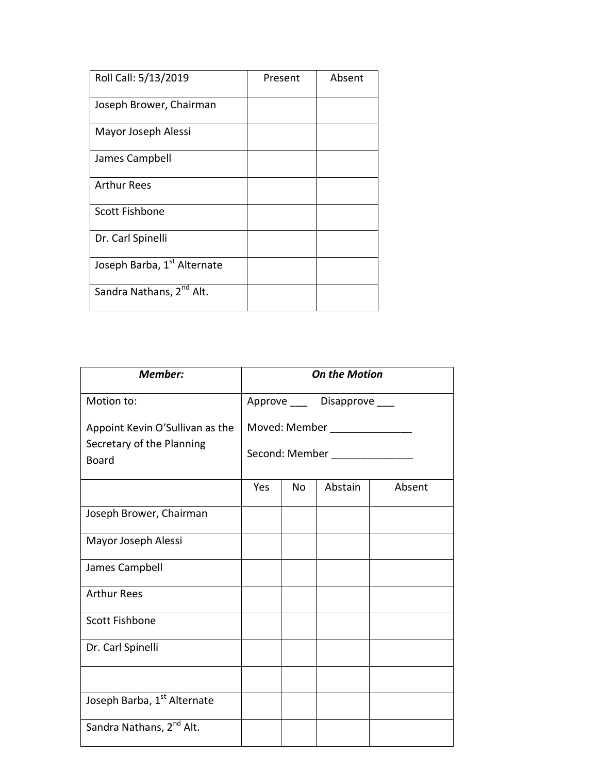| Roll Call: 5/13/2019                 | Present | Absent |
|--------------------------------------|---------|--------|
| Joseph Brower, Chairman              |         |        |
| Mayor Joseph Alessi                  |         |        |
| James Campbell                       |         |        |
| Arthur Rees                          |         |        |
| <b>Scott Fishbone</b>                |         |        |
| Dr. Carl Spinelli                    |         |        |
| Joseph Barba, 1st Alternate          |         |        |
| Sandra Nathans, 2 <sup>nd</sup> Alt. |         |        |

| <b>Member:</b>                            | <b>On the Motion</b>                                             |     |         |        |
|-------------------------------------------|------------------------------------------------------------------|-----|---------|--------|
| Motion to:                                | Approve ____ Disapprove ___                                      |     |         |        |
| Appoint Kevin O'Sullivan as the           | Moved: Member _______________<br>Second: Member ________________ |     |         |        |
| Secretary of the Planning<br><b>Board</b> |                                                                  |     |         |        |
|                                           | Yes                                                              | No. | Abstain | Absent |
| Joseph Brower, Chairman                   |                                                                  |     |         |        |
| Mayor Joseph Alessi                       |                                                                  |     |         |        |
| James Campbell                            |                                                                  |     |         |        |
| <b>Arthur Rees</b>                        |                                                                  |     |         |        |
| <b>Scott Fishbone</b>                     |                                                                  |     |         |        |
| Dr. Carl Spinelli                         |                                                                  |     |         |        |
|                                           |                                                                  |     |         |        |
| Joseph Barba, 1st Alternate               |                                                                  |     |         |        |
| Sandra Nathans, 2 <sup>nd</sup> Alt.      |                                                                  |     |         |        |